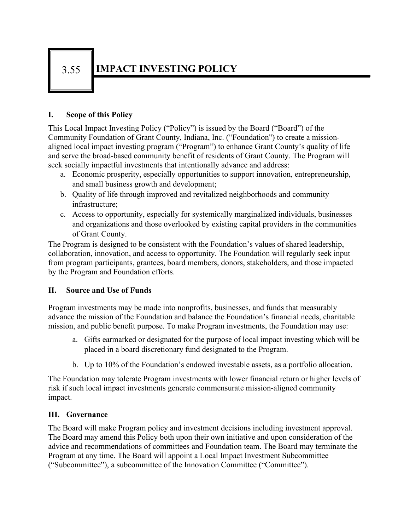## 3.55 **IMPACT INVESTING POLICY**

## **I. Scope of this Policy**

This Local Impact Investing Policy ("Policy") is issued by the Board ("Board") of the Community Foundation of Grant County, Indiana, Inc. ("Foundation") to create a missionaligned local impact investing program ("Program") to enhance Grant County's quality of life and serve the broad-based community benefit of residents of Grant County. The Program will seek socially impactful investments that intentionally advance and address:

- a. Economic prosperity, especially opportunities to support innovation, entrepreneurship, and small business growth and development;
- b. Quality of life through improved and revitalized neighborhoods and community infrastructure;
- c. Access to opportunity, especially for systemically marginalized individuals, businesses and organizations and those overlooked by existing capital providers in the communities of Grant County.

The Program is designed to be consistent with the Foundation's values of shared leadership, collaboration, innovation, and access to opportunity. The Foundation will regularly seek input from program participants, grantees, board members, donors, stakeholders, and those impacted by the Program and Foundation efforts.

## **II. Source and Use of Funds**

Program investments may be made into nonprofits, businesses, and funds that measurably advance the mission of the Foundation and balance the Foundation's financial needs, charitable mission, and public benefit purpose. To make Program investments, the Foundation may use:

- a. Gifts earmarked or designated for the purpose of local impact investing which will be placed in a board discretionary fund designated to the Program.
- b. Up to 10% of the Foundation's endowed investable assets, as a portfolio allocation.

The Foundation may tolerate Program investments with lower financial return or higher levels of risk if such local impact investments generate commensurate mission-aligned community impact.

## **III. Governance**

The Board will make Program policy and investment decisions including investment approval. The Board may amend this Policy both upon their own initiative and upon consideration of the advice and recommendations of committees and Foundation team. The Board may terminate the Program at any time. The Board will appoint a Local Impact Investment Subcommittee ("Subcommittee"), a subcommittee of the Innovation Committee ("Committee").